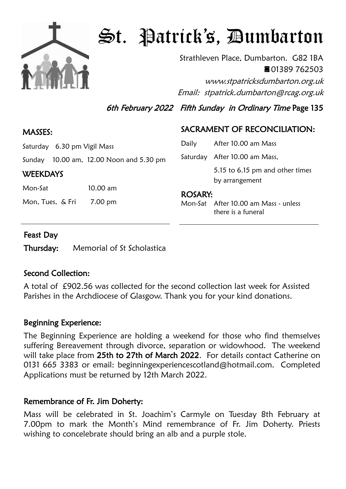

# St. Patrick's, Dumbarton

Strathleven Place, Dumbarton. G82 1BA 01389 762503 www.stpatricksdumbarton.org.uk

Email: stpatrick.dumbarton@rcag.org.uk

6th February 2022 Fifth Sunday in Ordinary Time Page 135

#### MASSES:

Saturday 6.30 pm Vigil Mass

Sunday 10.00 am, 12.00 Noon and 5.30 pm

#### **WEEKDAYS**

Mon-Sat 10.00 am

Mon, Tues, & Fri 7.00 pm

# SACRAMENT OF RECONCILIATION:

| Daily          | After 10.00 am Mass                               |
|----------------|---------------------------------------------------|
|                | Saturday After 10.00 am Mass,                     |
|                | 5.15 to 6.15 pm and other times<br>by arrangement |
| <b>ROSARY:</b> |                                                   |
|                | Mon-Sat After 10.00 am Mass - unless              |

there is a funeral

#### Feast Day

Thursday: Memorial of St Scholastica

## Second Collection:

A total of £902.56 was collected for the second collection last week for Assisted Parishes in the Archdiocese of Glasgow. Thank you for your kind donations.

#### Beginning Experience:

The Beginning Experience are holding a weekend for those who find themselves suffering Bereavement through divorce, separation or widowhood. The weekend will take place from 25th to 27th of March 2022. For details contact Catherine on 0131 665 3383 or email: beginningexperiencescotland@hotmail.com. Completed Applications must be returned by 12th March 2022.

## Remembrance of Fr. Jim Doherty:

Mass will be celebrated in St. Joachim's Carmyle on Tuesday 8th February at 7.00pm to mark the Month's Mind remembrance of Fr. Jim Doherty. Priests wishing to concelebrate should bring an alb and a purple stole.